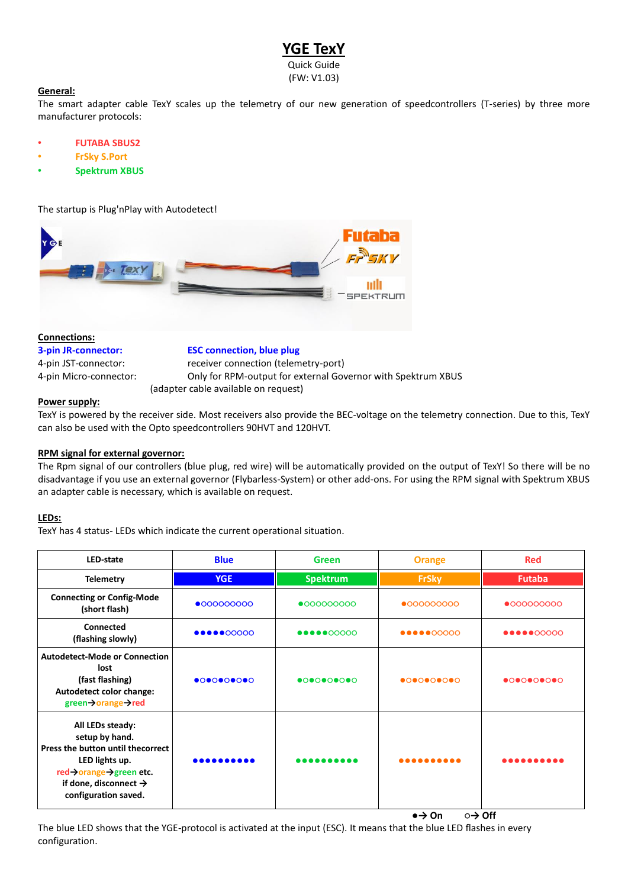# **YGE TexY**

Quick Guide (FW: V1.03)

## **General:**

The smart adapter cable TexY scales up the telemetry of our new generation of speedcontrollers (T-series) by three more manufacturer protocols:

- **FUTABA SBUS2**
- **FrSky S.Port**
- **Spektrum XBUS**

The startup is Plug'nPlay with Autodetect!



# **Connections:**

**3-pin JR-connector: ESC connection, blue plug** 4-pin JST-connector: receiver connection (telemetry-port) 4-pin Micro-connector: Only for RPM-output for external Governor with Spektrum XBUS (adapter cable available on request)

## **Power supply:**

TexY is powered by the receiver side. Most receivers also provide the BEC-voltage on the telemetry connection. Due to this, TexY can also be used with the Opto speedcontrollers 90HVT and 120HVT.

## **RPM signal for external governor:**

The Rpm signal of our controllers (blue plug, red wire) will be automatically provided on the output of TexY! So there will be no disadvantage if you use an external governor (Flybarless-System) or other add-ons. For using the RPM signal with Spektrum XBUS an adapter cable is necessary, which is available on request.

## **LEDs:**

TexY has 4 status- LEDs which indicate the current operational situation.

| LED-state                                                                                                                                                                       | <b>Blue</b>                                                         | <b>Green</b>                                                                                                                     | <b>Orange</b>                                                                                                                                                                             | <b>Red</b>                                                   |
|---------------------------------------------------------------------------------------------------------------------------------------------------------------------------------|---------------------------------------------------------------------|----------------------------------------------------------------------------------------------------------------------------------|-------------------------------------------------------------------------------------------------------------------------------------------------------------------------------------------|--------------------------------------------------------------|
| <b>Telemetry</b>                                                                                                                                                                | <b>YGE</b>                                                          | <b>Spektrum</b>                                                                                                                  | <b>FrSky</b>                                                                                                                                                                              | <b>Futaba</b>                                                |
| <b>Connecting or Config-Mode</b><br>(short flash)                                                                                                                               | •0000000000                                                         | $\bullet$ 000000000                                                                                                              | $\bullet$ 000000000                                                                                                                                                                       | $\bullet$ 000000000                                          |
| Connected<br>(flashing slowly)                                                                                                                                                  | $\bullet\bullet\bullet\bullet\bullet\circ\circ\circ\circ\circ\circ$ | $\bullet\bullet\bullet\bullet\bullet\hspace{-0.05cm}\bullet\hspace{-0.05cm}0\hspace{-0.05cm}0\hspace{-0.05cm}0\hspace{-0.05cm}0$ | $\bullet\bullet\bullet\bullet\bullet\hspace{-0.05cm}\circ\hspace{-0.05cm} \circ\hspace{-0.05cm}\circ\hspace{-0.05cm}\circ\hspace{-0.05cm}\circ\hspace{-0.05cm}\circ\hspace{-0.05cm}\circ$ | $\bullet\bullet\bullet\bullet\circ\circ\circ\circ\circ\circ$ |
| <b>Autodetect-Mode or Connection</b><br>lost<br>(fast flashing)<br>Autodetect color change:<br>green→orange→red                                                                 |                                                                     |                                                                                                                                  |                                                                                                                                                                                           |                                                              |
| All LEDs steady:<br>setup by hand.<br>Press the button until thecorrect<br>LED lights up.<br>red→orange→green etc.<br>if done, disconnect $\rightarrow$<br>configuration saved. | .                                                                   | .                                                                                                                                | .                                                                                                                                                                                         | .                                                            |

**●→ On ○→ Off**

The blue LED shows that the YGE-protocol is activated at the input (ESC). It means that the blue LED flashes in every configuration.